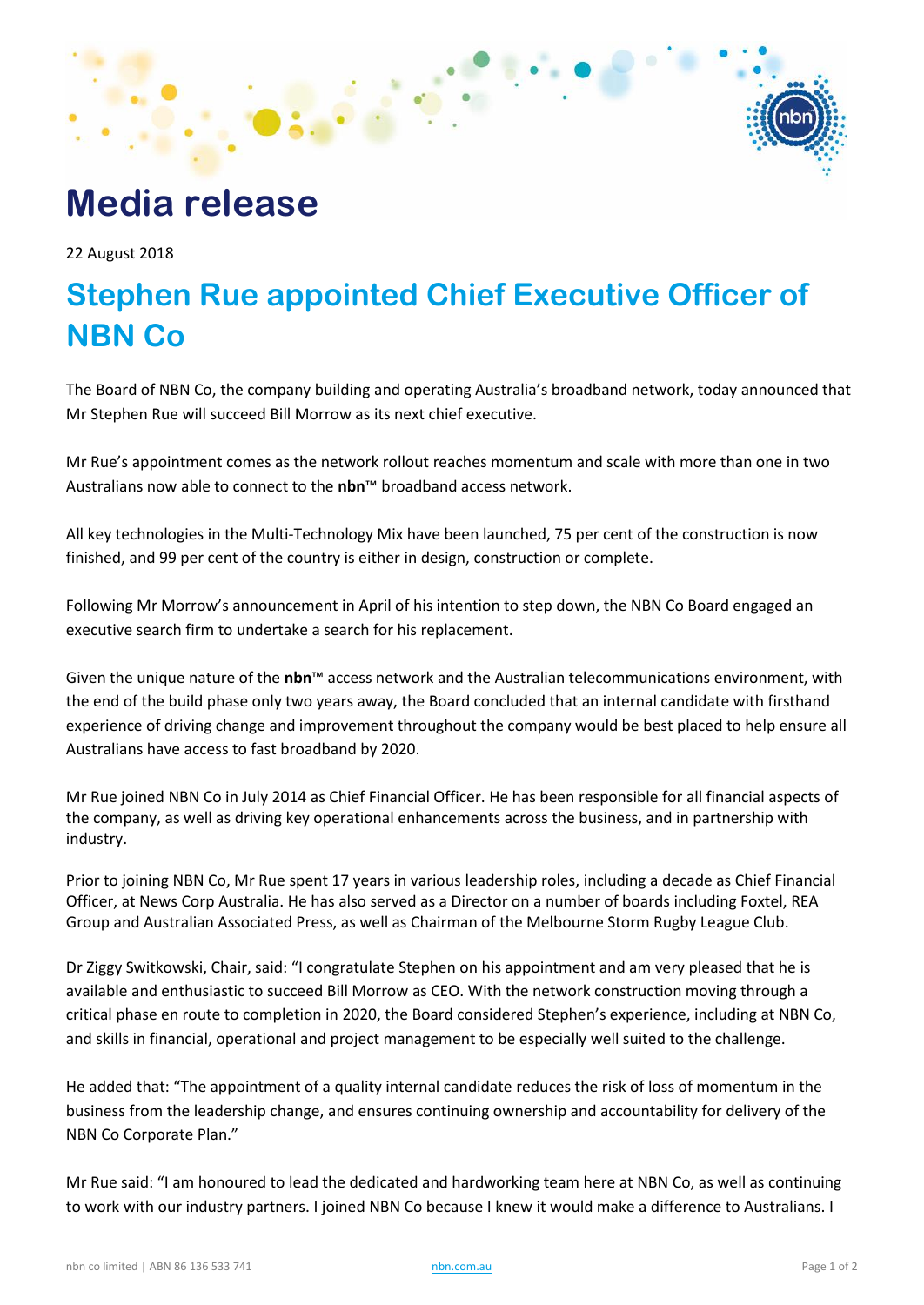# **Media release**

22 August 2018

## **Stephen Rue appointed Chief Executive Officer of NBN Co**

The Board of NBN Co, the company building and operating Australia's broadband network, today announced that Mr Stephen Rue will succeed Bill Morrow as its next chief executive.

Mr Rue's appointment comes as the network rollout reaches momentum and scale with more than one in two Australians now able to connect to the **nbn**™ broadband access network.

All key technologies in the Multi-Technology Mix have been launched, 75 per cent of the construction is now finished, and 99 per cent of the country is either in design, construction or complete.

Following Mr Morrow's announcement in April of his intention to step down, the NBN Co Board engaged an executive search firm to undertake a search for his replacement.

Given the unique nature of the **nbn**™ access network and the Australian telecommunications environment, with the end of the build phase only two years away, the Board concluded that an internal candidate with firsthand experience of driving change and improvement throughout the company would be best placed to help ensure all Australians have access to fast broadband by 2020.

Mr Rue joined NBN Co in July 2014 as Chief Financial Officer. He has been responsible for all financial aspects of the company, as well as driving key operational enhancements across the business, and in partnership with industry.

Prior to joining NBN Co, Mr Rue spent 17 years in various leadership roles, including a decade as Chief Financial Officer, at News Corp Australia. He has also served as a Director on a number of boards including Foxtel, REA Group and Australian Associated Press, as well as Chairman of the Melbourne Storm Rugby League Club.

Dr Ziggy Switkowski, Chair, said: "I congratulate Stephen on his appointment and am very pleased that he is available and enthusiastic to succeed Bill Morrow as CEO. With the network construction moving through a critical phase en route to completion in 2020, the Board considered Stephen's experience, including at NBN Co, and skills in financial, operational and project management to be especially well suited to the challenge.

He added that: "The appointment of a quality internal candidate reduces the risk of loss of momentum in the business from the leadership change, and ensures continuing ownership and accountability for delivery of the NBN Co Corporate Plan."

Mr Rue said: "I am honoured to lead the dedicated and hardworking team here at NBN Co, as well as continuing to work with our industry partners. I joined NBN Co because I knew it would make a difference to Australians. I